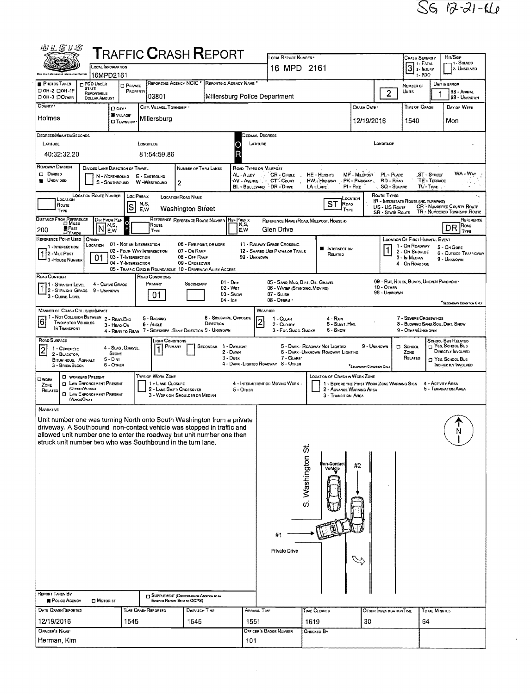| 羽汇尼儿忍                                                                                                                                           |                                                              |                                                   |                               |                                       |                                                                                  |                                      |                           |                             | LOCAL REPORT NUMBER                                          |                                          |                                         |                                                                                      |                                                                  |                                                   |                                                | HIT/SKIP                                                               |
|-------------------------------------------------------------------------------------------------------------------------------------------------|--------------------------------------------------------------|---------------------------------------------------|-------------------------------|---------------------------------------|----------------------------------------------------------------------------------|--------------------------------------|---------------------------|-----------------------------|--------------------------------------------------------------|------------------------------------------|-----------------------------------------|--------------------------------------------------------------------------------------|------------------------------------------------------------------|---------------------------------------------------|------------------------------------------------|------------------------------------------------------------------------|
| ${\sf T}$ RAFFIC ${\sf C}$ RASH ${\sf R}$ EPORT<br>LOCAL INFORMATION                                                                            |                                                              |                                                   |                               |                                       |                                                                                  |                                      |                           |                             | 16 MPD 2161                                                  |                                          |                                         |                                                                                      | <b>CRASH SEVERITY</b><br>7 1 - Fatal<br>$3$ 2- $h_{\text{NMRY}}$ | 1. SOLVED<br>2. UNSOLVED                          |                                                |                                                                        |
| <b>PHOTOS TAKEN</b>                                                                                                                             | 16MPD2161<br><b>DPDO UNDER</b>                               |                                                   |                               |                                       | REPORTING AGENCY NCIC * REPORTING AGENCY NAME *                                  |                                      |                           |                             |                                                              |                                          |                                         |                                                                                      |                                                                  |                                                   | $3 - PDO$                                      |                                                                        |
| □ ОН-2 □ ОН-1Р<br><b>ООН-3 ДОЛЖЕВ</b>                                                                                                           | <b>STATE</b><br>REPORTABLE<br><b>DOLLAR AMOUNT</b>           | <b>D</b> PRIVATE<br>PROPERTY                      |                               | 03801                                 |                                                                                  | Millersburg Police Department        |                           |                             |                                                              |                                          |                                         |                                                                                      | $\overline{2}$                                                   | NUMBER OF<br>Units                                |                                                | UNIT IN ERROR<br>98 - ANIMAL<br>99 - UNKNOWN                           |
| COUNTY '                                                                                                                                        |                                                              | D CITY'<br>VILLAGE*                               |                               | CITY, VILLAGE, TOWNSHIP               |                                                                                  |                                      |                           |                             |                                                              |                                          |                                         | CRASH DATE                                                                           |                                                                  |                                                   | TIME OF CRASH                                  | DAY OF WEEK                                                            |
| Holmes                                                                                                                                          |                                                              | <b>D</b> TDWNSHIP                                 |                               | Millersburg                           |                                                                                  |                                      |                           |                             |                                                              |                                          |                                         | 12/19/2016                                                                           |                                                                  | 1540                                              |                                                | Mon                                                                    |
| DEGREES/MINUTES/SECONDS<br>LATITUDE                                                                                                             |                                                              |                                                   | LONGITUDE                     |                                       |                                                                                  |                                      |                           | Secimal Degrees<br>LATITUDE |                                                              |                                          |                                         |                                                                                      | LONDITUDE                                                        |                                                   |                                                |                                                                        |
| 40:32:32.20                                                                                                                                     |                                                              |                                                   |                               | 81:54:59.86                           |                                                                                  |                                      |                           |                             |                                                              |                                          |                                         |                                                                                      |                                                                  |                                                   |                                                |                                                                        |
| ROADWAY DIVISION                                                                                                                                | <b>DIVIDED LANE DIRECTION OF TRAVEL</b>                      |                                                   |                               |                                       | NUMBER OF THRU LANES                                                             |                                      |                           | ROAD TYPES OR MILEPOST      |                                                              |                                          |                                         |                                                                                      |                                                                  |                                                   |                                                |                                                                        |
| $\square$ Dwoso<br><b>UNDIVIDED</b>                                                                                                             |                                                              | N - NORTHBOUND<br>S - SOUTHBOUND                  | E - EASTBOUND<br>W -WESTBOUND |                                       | 2                                                                                |                                      | AL - ALLEY<br>AV - Avenue |                             | CR - CIRCLE<br>CT Count<br>BL - BOULEVARD DR - DRIVE         | HE - Herouts<br>HW - HIGHWAY<br>LA - Lwe |                                         | MP - MILEPOST<br>PK - PARKWAY.<br>$PI - P$ IKE                                       | RD - Roap                                                        | PL-PLACE<br><b>SQ - SOUARE</b>                    | ST - STREET<br><b>TE - TERRACE</b><br>TL-TRAL. | $WA-WAY$                                                               |
| LOCATION                                                                                                                                        | <b>LOCATION ROUTE NUMBER</b>                                 |                                                   | <b>LOC PREFIX</b>             |                                       | LOCATION ROAD NAME                                                               |                                      |                           |                             |                                                              |                                          |                                         | <b>LOCATION</b>                                                                      | Route Types                                                      |                                                   | <b>R</b> - INTERSTATE ROUTE (INC. TURNPIKE)    |                                                                        |
| Route<br>TYPE                                                                                                                                   |                                                              | S                                                 | N,S,<br>E.W                   |                                       | <b>Washington Street</b>                                                         |                                      |                           |                             |                                                              |                                          | SТ<br>Road                              | TYPE                                                                                 | US - US Route                                                    | <b>SR - STATE ROUTE</b>                           |                                                | CR - NUMBERED COUNTY ROUTE<br>TR - NUMBERED TOWNSHIP ROUTE             |
| DISTANCE FROM REFERENCE<br><b>FEET</b><br>DYARDS<br>200                                                                                         | Dir From Ref<br>N,S,<br>IN<br>E,W                            | F                                                 |                               | Route<br>TYPE                         | REFERENCE REFERENCE ROUTE NUMBER REF PREFIX                                      |                                      | N,S.<br>E,W               |                             | REFERENCE NAME (ROAD, MILEPOST, HOUSE #)<br>Glen Drive       |                                          |                                         |                                                                                      |                                                                  |                                                   |                                                | REFERENCE<br>Roap<br>DR                                                |
| REFERENCE POINT USED                                                                                                                            | CRASH                                                        | 01 - NOT AN INTERSECTION                          |                               |                                       | 06 - FIVE POINT, OR MORE                                                         |                                      |                           |                             | 11 - RAILWAY GRADE CROSSING                                  |                                          |                                         |                                                                                      |                                                                  |                                                   | <b>LOCATION OF FIRST HARMFUL EVENT</b>         | TYPE                                                                   |
| 1-INTERSECTION<br>12-MILE Post                                                                                                                  | LOCATION<br>01                                               | 02 - Four-WAY INTERSECTION<br>03 - T-INTERSECTION |                               |                                       | 07 - On RAMP<br>08 - Off RAMP                                                    |                                      |                           | 99 - UNKNOWN                | 12 - SHAREO-USE PATHS OR TRAILS                              | ۳                                        | <b>INTERSECTION</b><br>RELATED          |                                                                                      |                                                                  | 1 - On ROADWAY<br>2 - ON SHOULDE<br>3 - In Median |                                                | 5 - On Gore<br>6 - OUTSIDE TRAFFICWAY<br>9 - UNKNOWN                   |
| 3 - House Number                                                                                                                                |                                                              | 04 - Y-INTERSECTION                               |                               |                                       | 09 - Crossover<br>05 - TRAFFIC CIRCLE/ ROUNDABOUT 10 - DRIVEWAY/ ALLEY ACCESS    |                                      |                           |                             |                                                              |                                          |                                         |                                                                                      |                                                                  | 4 - On ROADSIDE                                   |                                                |                                                                        |
| Road Contour<br>1 - STRAIGHT LEVEL                                                                                                              | 4 - CURVE GRADE                                              |                                                   |                               | ROAD CONDITIONS<br>PRIMARY            | SECONDARY                                                                        |                                      | $01 - Der$                |                             | 05 - SAND, MUO, DIRT, OIL, GRAVEL                            |                                          |                                         |                                                                                      | $10 -$ OTHER                                                     |                                                   | 09 - RUT, HOLES, BUMPS, UNEVEN PAVEMENT        |                                                                        |
| $2 - STRAGHT$ GRADE<br>3 - CURVE LEVEL                                                                                                          | 9 - UNKNOWN                                                  |                                                   |                               | 01                                    |                                                                                  | $04 -$ Ice                           | 02 - WET<br>03 - Snow     |                             | 06 - WATER (STANDING, MOVING)<br>$07 -$ SLUSH<br>08 - DESRIS |                                          |                                         |                                                                                      | 99 - UNKNOWN                                                     |                                                   |                                                | <sup>*</sup> SECONDARY CONDITION ONLY                                  |
| <b>MANNER OF CRASH COLLISION/IMPACT</b><br>1 - Not Collision Between 2 - Reag-Eng                                                               |                                                              |                                                   |                               |                                       |                                                                                  |                                      |                           | WEATHER                     |                                                              |                                          |                                         |                                                                                      |                                                                  |                                                   |                                                |                                                                        |
| $6\phantom{a}$<br><b>TWO MOTOR VEHICLES</b><br>IN TRANSPORT                                                                                     |                                                              | 3 - HEAO-ON                                       | $6 -$ ANGLE                   | 5 - BACKING                           | 4 - REAR-TO-REAR 7 - SIDESWIPE, SAME DIRECTION 9 - UNKNOWN                       | 8 - SIDESWIPE, OPPOSITE<br>DIRECTION |                           |                             | 1 - CLEAR<br>2 - CLOUDY<br>3 - Fog, Smog, Smoke              |                                          | 4 - RAIN<br>5 - SLEET, HALL<br>6 - Snow |                                                                                      |                                                                  |                                                   | 7 - Severe Crosswinds<br>9 - Other/Unknown     | 8 - Blowing Sand, Soil, Dirt, Snow                                     |
| ROAD SURFACE                                                                                                                                    |                                                              |                                                   |                               | LIGHT CONDITIONS                      |                                                                                  |                                      |                           |                             |                                                              |                                          |                                         |                                                                                      |                                                                  |                                                   |                                                | SCHOOL BUS RELATED                                                     |
| 2<br>1 - CONCRETE<br>2 - BLACKTOP,                                                                                                              |                                                              | 4 - SLAG, GRAVEL.<br><b>STONE</b><br>$5 - DIRT$   |                               | Primary<br>$\vert$ 1                  |                                                                                  | SECONDAR 1 - DAYLIGHT                | 2 - DAWN<br>3 - Dusk      |                             | 7 - GLARE                                                    | 5 - DARK - ROADWAY NOT LIGHTED           | 5 - DARK - UNKNOWN ROADWAY LIGHTING     |                                                                                      | 9 - Unknown                                                      | <b>D</b> SCHOOL<br>ZONE<br>RELATED                |                                                | <sup>T</sup> Yes, School Bus<br>DIRECTLY INVOLVED<br>T YES, SCHOOL BUS |
| <b>BITUMINOUS, ASPHALT</b><br>3 - BRICK/BLOCK                                                                                                   |                                                              | $6 -$ OTHER                                       |                               |                                       |                                                                                  |                                      |                           |                             | 4 - DARK LIGHTEO ROAOWAY 8 - OTHER                           |                                          |                                         | SECONDARY CONDITION ONLY                                                             |                                                                  |                                                   |                                                | INGIRECTLY INVOLVED                                                    |
| Owork<br>ZONE                                                                                                                                   | <b>D</b> WORKERS PRESENT<br><b>Q LAW ENFORCEMENT PRESENT</b> |                                                   |                               | TYPE OF WORK ZONE<br>1 - LANE CLOSURE |                                                                                  |                                      |                           |                             | 4 - INTERMITTENT OR MOVING WORK.                             |                                          |                                         | <b>LOCATION OF CRASH IN WORK ZONE</b><br>1 - BEFORE THE FIRST WORK ZONE WARNING SIGN |                                                                  |                                                   |                                                | 4 - ACTIVITY AREA                                                      |
| RELATED<br>(VEHOLE OHLY)                                                                                                                        | (OFFICER/VENCLE)<br><b>D</b> LAW ENFORCEMENT PRESENT         |                                                   |                               |                                       | 2 - LANE SHIFT/ CROSSOVER<br>3 - WORK ON SHOULDER OR MEDIAN                      |                                      | 5 - OTHER                 |                             |                                                              |                                          | 3 - TRANSITION AREA                     | 2 - ADVANCE WARNING AREA                                                             |                                                                  |                                                   |                                                | 5 - Termination Area                                                   |
| NARRATNE                                                                                                                                        |                                                              |                                                   |                               |                                       |                                                                                  |                                      |                           |                             |                                                              |                                          |                                         |                                                                                      |                                                                  |                                                   |                                                |                                                                        |
| Unit number one was turning North onto South Washington from a private<br>driveway. A Southbound non-contact vehicle was stopped in traffic and |                                                              |                                                   |                               |                                       |                                                                                  |                                      |                           |                             |                                                              |                                          |                                         |                                                                                      |                                                                  |                                                   |                                                |                                                                        |
| allowed unit number one to enter the roadway but unit number one then<br>struck unit number two who was Southbound in the turn lane.            |                                                              |                                                   |                               |                                       |                                                                                  |                                      |                           |                             |                                                              |                                          |                                         |                                                                                      |                                                                  |                                                   |                                                | Ν                                                                      |
|                                                                                                                                                 |                                                              |                                                   |                               |                                       |                                                                                  |                                      |                           |                             |                                                              |                                          |                                         |                                                                                      |                                                                  |                                                   |                                                |                                                                        |
|                                                                                                                                                 |                                                              |                                                   |                               |                                       |                                                                                  |                                      |                           |                             |                                                              |                                          | fron-Contact<br>Vehicle                 | #2                                                                                   |                                                                  |                                                   |                                                |                                                                        |
|                                                                                                                                                 |                                                              |                                                   |                               |                                       |                                                                                  |                                      |                           |                             |                                                              | S. Washington St.                        |                                         |                                                                                      |                                                                  |                                                   |                                                |                                                                        |
|                                                                                                                                                 |                                                              |                                                   |                               |                                       |                                                                                  |                                      |                           |                             |                                                              |                                          |                                         |                                                                                      |                                                                  |                                                   |                                                |                                                                        |
|                                                                                                                                                 |                                                              |                                                   |                               |                                       |                                                                                  |                                      |                           |                             |                                                              |                                          |                                         |                                                                                      |                                                                  |                                                   |                                                |                                                                        |
|                                                                                                                                                 |                                                              |                                                   |                               |                                       |                                                                                  |                                      |                           |                             |                                                              |                                          |                                         |                                                                                      |                                                                  |                                                   |                                                |                                                                        |
|                                                                                                                                                 |                                                              |                                                   |                               |                                       |                                                                                  |                                      |                           |                             | #1                                                           |                                          |                                         |                                                                                      |                                                                  |                                                   |                                                |                                                                        |
|                                                                                                                                                 |                                                              |                                                   |                               |                                       |                                                                                  |                                      |                           |                             | Private Drive                                                |                                          |                                         |                                                                                      |                                                                  |                                                   |                                                |                                                                        |
|                                                                                                                                                 |                                                              |                                                   |                               |                                       |                                                                                  |                                      |                           |                             |                                                              |                                          |                                         |                                                                                      |                                                                  |                                                   |                                                |                                                                        |
|                                                                                                                                                 |                                                              |                                                   |                               |                                       |                                                                                  |                                      |                           |                             |                                                              |                                          |                                         |                                                                                      |                                                                  |                                                   |                                                |                                                                        |
| REPORT TAKEN BY                                                                                                                                 |                                                              |                                                   |                               |                                       |                                                                                  |                                      |                           |                             |                                                              |                                          |                                         |                                                                                      |                                                                  |                                                   |                                                |                                                                        |
| POLICE AGENCY                                                                                                                                   | <b>D</b> MOTORIST                                            |                                                   |                               |                                       | <b>IN SUPPLEMENT (CORRECTION OR ADDRESS TO AN</b><br>EXSRHG REPORT SENT TO ODPS) |                                      |                           |                             |                                                              |                                          |                                         |                                                                                      |                                                                  |                                                   |                                                |                                                                        |
| DATE CRASHREPORTED<br>12/19/2016                                                                                                                |                                                              | 1545                                              | <b>TIME CRASHREPORTED</b>     |                                       | DISPATCH TIME<br>1545                                                            |                                      |                           | Arrival Time<br>1551        |                                                              | TIME CLEARED<br>1619                     |                                         | 30                                                                                   |                                                                  | OTHER INVESTIGATION TIME                          | TOTAL MINUTES<br>64                            |                                                                        |
| OFFICER'S NAME*                                                                                                                                 |                                                              |                                                   |                               |                                       |                                                                                  |                                      |                           |                             | Officer's Badge Number                                       | Снескво Ву                               |                                         |                                                                                      |                                                                  |                                                   |                                                |                                                                        |
| Herman, Kim                                                                                                                                     |                                                              |                                                   |                               |                                       |                                                                                  |                                      |                           | 101                         |                                                              |                                          |                                         |                                                                                      |                                                                  |                                                   |                                                |                                                                        |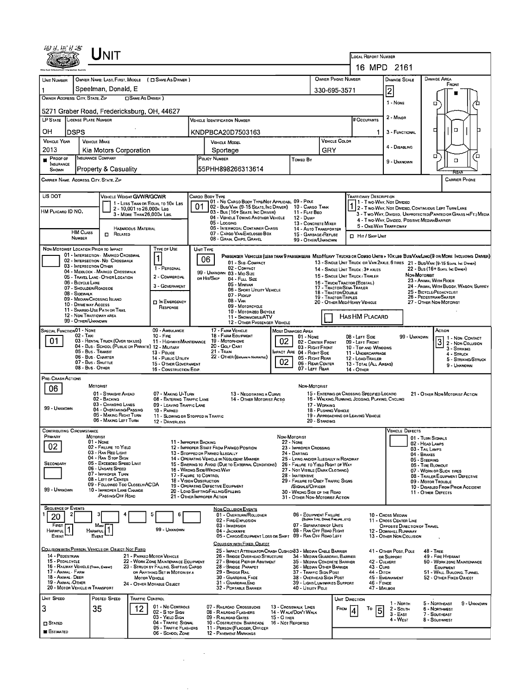|                                                                                                                                     |                             | <b>NIT</b>                                                                             |                                                          |                                                                          |    |                                                                                                                              |                                                                       |                                                                          |                                               |                                                        | LOCAL REPORT NUMBER                                                                                                                                        |                                                                                                                           |                                                   |                                                 |                                       |  |  |  |
|-------------------------------------------------------------------------------------------------------------------------------------|-----------------------------|----------------------------------------------------------------------------------------|----------------------------------------------------------|--------------------------------------------------------------------------|----|------------------------------------------------------------------------------------------------------------------------------|-----------------------------------------------------------------------|--------------------------------------------------------------------------|-----------------------------------------------|--------------------------------------------------------|------------------------------------------------------------------------------------------------------------------------------------------------------------|---------------------------------------------------------------------------------------------------------------------------|---------------------------------------------------|-------------------------------------------------|---------------------------------------|--|--|--|
|                                                                                                                                     |                             |                                                                                        |                                                          |                                                                          |    |                                                                                                                              |                                                                       |                                                                          |                                               |                                                        |                                                                                                                                                            | 16 MPD 2161                                                                                                               |                                                   |                                                 |                                       |  |  |  |
| UNIT NUMBER                                                                                                                         |                             |                                                                                        |                                                          | OWNER NAME: LAST, FIRST, MIDDLE ( C SAME AS DRIVER )                     |    |                                                                                                                              |                                                                       |                                                                          |                                               | OWNER PHONE NUMBER                                     |                                                                                                                                                            | <b>DAMAGE SCALE</b>                                                                                                       |                                                   | DAMAGE AREA<br>FRONT                            |                                       |  |  |  |
| OWNER ADDRESS: CITY, STATE, ZIP                                                                                                     |                             | Speelman, Donald, E                                                                    | □ SAME AS DRIVER )                                       |                                                                          |    |                                                                                                                              |                                                                       |                                                                          |                                               | 330-695-3571                                           |                                                                                                                                                            | 2                                                                                                                         |                                                   |                                                 |                                       |  |  |  |
|                                                                                                                                     |                             | 5271 Graber Road, Fredericksburg, OH, 44627                                            |                                                          |                                                                          |    |                                                                                                                              |                                                                       |                                                                          |                                               |                                                        |                                                                                                                                                            | 1 - NONE                                                                                                                  |                                                   | о                                               |                                       |  |  |  |
| <b>LP STATE</b>                                                                                                                     | <b>LICENSE PLATE NUMBER</b> |                                                                                        |                                                          |                                                                          |    | <b>VEHICLE IDENTIFICATION NUMBER</b>                                                                                         |                                                                       |                                                                          |                                               |                                                        | # Occupants                                                                                                                                                | 2 - Minor                                                                                                                 |                                                   |                                                 |                                       |  |  |  |
| он                                                                                                                                  | <b>DSPS</b>                 |                                                                                        |                                                          |                                                                          |    | KNDPBCA20D7503163                                                                                                            |                                                                       |                                                                          |                                               |                                                        | 1.                                                                                                                                                         | 3 - FUNCTIONAL                                                                                                            |                                                   | $\Box$<br>□                                     |                                       |  |  |  |
| <b>VEHICLE YEAR</b>                                                                                                                 |                             | <b>VEHICLE MAKE</b>                                                                    |                                                          |                                                                          |    | <b>VEHICLE MODEL</b>                                                                                                         |                                                                       |                                                                          |                                               | <b>VEHICLE COLOR</b>                                   |                                                                                                                                                            |                                                                                                                           |                                                   |                                                 |                                       |  |  |  |
| 2013                                                                                                                                |                             | Kia Motors Corporation                                                                 |                                                          |                                                                          |    | Sportage                                                                                                                     | GRY                                                                   |                                                                          |                                               | 4 - DISABLING                                          |                                                                                                                                                            | α,                                                                                                                        | □                                                 |                                                 |                                       |  |  |  |
| PROOF OF<br><b>NSURANCE</b>                                                                                                         |                             | <b>INSURANCE COMPANY</b><br>Property & Casuality                                       |                                                          |                                                                          |    | POLICY NUMBER<br>55PHH898266313614                                                                                           |                                                                       | Toweo By                                                                 |                                               |                                                        |                                                                                                                                                            | 9 - UNKNOWN                                                                                                               |                                                   | □                                               |                                       |  |  |  |
| SHOWN                                                                                                                               |                             | CARRIER NAME, ADDRESS, CITY, STATE, ZIP                                                |                                                          |                                                                          |    |                                                                                                                              |                                                                       |                                                                          |                                               |                                                        |                                                                                                                                                            |                                                                                                                           |                                                   | REAF<br><b>CARRIER PHONE</b>                    |                                       |  |  |  |
|                                                                                                                                     |                             |                                                                                        |                                                          |                                                                          |    |                                                                                                                              |                                                                       |                                                                          |                                               |                                                        |                                                                                                                                                            |                                                                                                                           |                                                   |                                                 |                                       |  |  |  |
| US DOT                                                                                                                              |                             | VEHICLE WEIGHT GVWR/GCWR                                                               |                                                          | 1 - LESS THAN OR EQUAL TO 10x LBS                                        |    | CARGO BODY TYPE<br>01 - No CARGO BODY TYPE/NOT APPLICABL 09 - POLE                                                           |                                                                       |                                                                          |                                               |                                                        | TRAFFICWAY DESCRIPTION<br>11 - Two Way, Not Divideo                                                                                                        |                                                                                                                           |                                                   |                                                 |                                       |  |  |  |
| HM PLACARD ID NO.                                                                                                                   |                             |                                                                                        | 2 - 10,001 to 26,000 k Las<br>3 - MORE THAN 26,000K LBS. |                                                                          |    | 02 - Bus/Van (9-15 Seats, Inc Driver) 10 - Cargo Tank<br>03 - Bus (16+ Seats, Inc Driver)                                    |                                                                       | 11 - FLAT BEO                                                            |                                               |                                                        |                                                                                                                                                            | 1 2 - T WO WAY, NOT DIVIDED, CONTINUOUS LEFT TURN LANE<br>3 - Two-Way, Divided, UNPROTECTED(PAINTED OR GRASS >4FT.) MEDIA |                                                   |                                                 |                                       |  |  |  |
|                                                                                                                                     |                             |                                                                                        |                                                          |                                                                          |    | 04 - VEHICLE TOWING ANOTHER VEHICLE<br>05 - Loccing                                                                          |                                                                       | 12 - Dump<br>13 - CONCRETE MIXER                                         |                                               |                                                        | 5 - ONE-WAY TRAFFICWAY                                                                                                                                     | 4 - Two-Way, Divideo, Positive Median Barrier                                                                             |                                                   |                                                 |                                       |  |  |  |
|                                                                                                                                     | <b>HM CLASS</b>             | $\Box$ Related                                                                         | HAZARDOUS MATERIAL                                       |                                                                          |    | 06 - INTERMODAL CONTAINER CHASIS<br>07 - CARGO VAN ENCLOSEO BOX                                                              |                                                                       | 14 - Auto Transporter<br>15 - GARBAGE / REFUSE                           |                                               |                                                        | Hit / Sxip UNit                                                                                                                                            |                                                                                                                           |                                                   |                                                 |                                       |  |  |  |
| <b>NUMBER</b><br>08 GRAIN, CHIPS, GRAVEL<br>99 - OTHER/UNKNOWN<br>NON-MOTORIST LOCATION PRIOR TO IMPACT<br>Type of Use<br>UNIT TYPE |                             |                                                                                        |                                                          |                                                                          |    |                                                                                                                              |                                                                       |                                                                          |                                               |                                                        |                                                                                                                                                            |                                                                                                                           |                                                   |                                                 |                                       |  |  |  |
|                                                                                                                                     |                             | 01 - INTERSECTION - MARKED CROSSWAL<br>02 - INTERSECTION - NO CROSSWALK                |                                                          | $\overline{\mathbf{1}}$                                                  | 06 | PASSENGER VEHICLES (LESS THAN 9 PASSENGERS MEDINEARY TRUCKS OR COMBO UNITS > 10KLBS BUS/VAN/LIMO(9 OR MORE INCLUDING DRIVER) |                                                                       |                                                                          |                                               |                                                        |                                                                                                                                                            |                                                                                                                           |                                                   |                                                 |                                       |  |  |  |
|                                                                                                                                     |                             | 03 - INTERSECTION OTHER<br>04 - MIDBLOCK - MARKED CROSSWALK                            |                                                          | 1 - PERSONAL                                                             |    | 01 - Sub - COMPACT<br>02 - COMPACT                                                                                           |                                                                       |                                                                          |                                               |                                                        | 13 - SINGLE UNIT TRUCK OR VAN ZAXLE, 6 TIRES 21 - BUS/VAN (9-15 SEATS, INC DRIVER)<br>22 - Bus (16+ Seats, Inc Driver)<br>14 - SINGLE UNIT TRUCK: 3+ AXLES |                                                                                                                           |                                                   |                                                 |                                       |  |  |  |
|                                                                                                                                     | 06 - BICYCLE LANE           | 05 - TRAVEL LANE - OTHER LOCATION                                                      |                                                          | 2 - COMMERCIAL                                                           |    | 99 - UNKNOWN 03 - MID SIZE<br>OR HIT/SKIP<br>04 - FULL SIZE                                                                  |                                                                       |                                                                          |                                               | 16 - TRUCK/TRACTOR (BOBTAIL)                           | 15 - SINGLE UNIT TRUCK / TRAILER                                                                                                                           |                                                                                                                           | Non MOTORIST                                      | 23 - ANIMAL WITH RIDER                          |                                       |  |  |  |
|                                                                                                                                     | 08 - SIDEWALK               | 07 - SHOULDER/ROADSIDE                                                                 |                                                          | 3 - GOVERNMENT                                                           |    | 05 - MINIVAN<br>06 - SPORT UTILITY VEHICLE                                                                                   |                                                                       |                                                                          |                                               | 17 - TRACTOR/SEMI-TRAILER<br>18 - TRACTOR/DOUBLE       |                                                                                                                                                            |                                                                                                                           |                                                   | 25 - BICYCLE/PEDACYCLIST                        | 24 - ANIMAL WITH BUGGY, WAGON, SURREY |  |  |  |
|                                                                                                                                     | 10 - DRIVE WAY ACCESS       | 09 - MEORN CROSSING ISLAND                                                             |                                                          | IN EMERGENCY                                                             |    | 07 - Pickup<br>$08 - V_{AN}$<br>09 - MOTORCYCLE                                                                              |                                                                       |                                                                          | 19 - TRACTOR/TRIPLES                          | 20 - OTHER MED/HEAVY VEHICLE                           |                                                                                                                                                            |                                                                                                                           | 26 - PEDESTRIAN/SKATER<br>27 - OTHER NON-MOTORIST |                                                 |                                       |  |  |  |
|                                                                                                                                     |                             | 11 - SHAREO-USE PATH OR TRAIL<br>12 - NON-TRAFFICWAY AREA                              |                                                          | RESPONSE                                                                 |    | 10 - MOTORIZEO BICYCLE                                                                                                       |                                                                       |                                                                          |                                               | HAS HM PLACARD                                         |                                                                                                                                                            |                                                                                                                           |                                                   |                                                 |                                       |  |  |  |
|                                                                                                                                     | 99 - OTHER/UNKNOWN          |                                                                                        |                                                          |                                                                          |    | 11 - SNOWMOBILE/ATV<br>12 - OTHER PASSENGER VEHICLE                                                                          |                                                                       |                                                                          |                                               |                                                        |                                                                                                                                                            |                                                                                                                           |                                                   |                                                 |                                       |  |  |  |
| <b>SPECIAL FUNCTION 01 - NONE</b>                                                                                                   | 02 - TAXI                   |                                                                                        |                                                          | 09 - AMBULANCE<br>$10 -$ Fine                                            |    | 17 - FARM VEHICLE<br>18 - FARM EQUIPMENT                                                                                     | 02                                                                    | Most Damageo Area<br>$01 - None$                                         |                                               |                                                        | 08 - LEFT SIDE                                                                                                                                             | 99 - UNKNOWN                                                                                                              |                                                   | ACTION                                          | 1 1 - Non-Contact                     |  |  |  |
| 01                                                                                                                                  |                             | 03 - RENTAL TRUCK (OVER 10KLBS)<br>04 - Bus - SCHOOL (PUBLIC OR PRIVATE) 12 - MILITARY |                                                          | 11 - HIGHWAY/MAINTENANCE                                                 |    | 19 - Мотокноме<br>20 - GOLF CART                                                                                             | 02 - CENTER FRONT                                                     | 09 - LEFT FRONT<br>10 - TOP AND WINDOWS                                  |                                               |                                                        | 3<br>3 - STRIKING                                                                                                                                          | 2 - Non-Collision                                                                                                         |                                                   |                                                 |                                       |  |  |  |
|                                                                                                                                     |                             | 05 - Bus Transit<br>06 - Bus - Charter                                                 |                                                          | 13 - Police<br>14 - PUBLIC UTILITY                                       |    | 21 - TRAIN<br>22 - OTHER (EXPLAN IN NARRATIVE)                                                                               | 02                                                                    | <b>IMPACT ARE 04 - RIGHT SIDE</b><br>05 - Right Rear<br>06 - REAR CENTER |                                               |                                                        | 11 - UNDERCARRIAGE<br>12 - LOAD/TRAILER                                                                                                                    |                                                                                                                           |                                                   | 4 - STRUCK                                      | 5 - STRIKING/STRUCK                   |  |  |  |
|                                                                                                                                     |                             | 07 - Bus - Shuttle<br>08 - Bus - OTHER                                                 |                                                          | 15 - OTHER GOVERNMENT<br>16 - CONSTRUCTION EQIP.                         |    |                                                                                                                              |                                                                       | 13 - TOTAL (ALL AREAS)<br>14 - Отнев                                     |                                               |                                                        | 9 - UNKNOWN                                                                                                                                                |                                                                                                                           |                                                   |                                                 |                                       |  |  |  |
| PRE- CRASH ACTIONS                                                                                                                  |                             |                                                                                        |                                                          |                                                                          |    |                                                                                                                              |                                                                       |                                                                          |                                               |                                                        |                                                                                                                                                            |                                                                                                                           |                                                   |                                                 |                                       |  |  |  |
| 06                                                                                                                                  |                             | <b>MOTORIST</b><br>01 - STRAIGHT AHEAD                                                 |                                                          | 07 - MAKING U-TURN                                                       |    | 13 - NEGOTIATING A CURVE                                                                                                     |                                                                       | NON-MOTORIST                                                             |                                               |                                                        | 15 - ENTERING OR CROSSING SPECIFIED LOCATIO                                                                                                                |                                                                                                                           |                                                   | 21 - OTHER NON-MOTORIST ACTION                  |                                       |  |  |  |
|                                                                                                                                     |                             | 02 - BACKING<br>03 - CHANGING LANES                                                    |                                                          | 08 - ENTERING TRAFFIC LANE<br>09 - LEAVING TRAFFIC LANE                  |    | 14 - OTHER MOTORIST ACTIO                                                                                                    | 17 - WORKING                                                          | 16 - WALKING, RUNNING, JOGGING, PLAYING, CYCLING                         |                                               |                                                        |                                                                                                                                                            |                                                                                                                           |                                                   |                                                 |                                       |  |  |  |
| 99 - UNKNOWN                                                                                                                        |                             | 04 - OVERTAKING/PASSING<br>05 - MAKING RIGHT TURN                                      |                                                          | 10 - PARKED<br>11 - SLOWING OR STOPPED IN TRAFFIC                        |    |                                                                                                                              | 18 - Pushing Vehicle                                                  | 19 - APPROACHING OR LEAVING VEHICLE                                      |                                               |                                                        |                                                                                                                                                            |                                                                                                                           |                                                   |                                                 |                                       |  |  |  |
|                                                                                                                                     |                             | 06 - MAKING LEFT TURN                                                                  |                                                          | 12 DRIVERLESS                                                            |    |                                                                                                                              |                                                                       |                                                                          | 20 - STANDING                                 |                                                        |                                                                                                                                                            |                                                                                                                           |                                                   |                                                 |                                       |  |  |  |
| <b>CONTRIBUTING CIRCUMSTANCE</b><br>PRIMARY                                                                                         |                             | <b>MOTORIST</b>                                                                        |                                                          |                                                                          |    |                                                                                                                              | NON-MOTORIST                                                          |                                                                          |                                               |                                                        |                                                                                                                                                            | VEHICLE DEFECTS                                                                                                           | 01 - TURN SIGNALS                                 |                                                 |                                       |  |  |  |
| 02                                                                                                                                  |                             | $01 - None$<br>02 - FAILURE TO YIELD                                                   |                                                          | 11 - IMPROPER BACKING                                                    |    | 12 - IMPROPER START FROM PARKEO POSITION                                                                                     |                                                                       | 22 - None<br>23 - IMPROPER CROSSING<br>24 - DARTING                      |                                               |                                                        |                                                                                                                                                            |                                                                                                                           | 02 - HEAD LAMPS<br>03 - TAIL LAMPS<br>04 - BRAKES |                                                 |                                       |  |  |  |
|                                                                                                                                     |                             | 03 - RAN REO LIGHT<br>04 - RAN STOP SIGN<br>05 - Excesoso Speso Limit                  |                                                          |                                                                          |    | 13 - STOPPED OR PARKED ILLEGALLY<br>14 - OPERATING VEHICLE IN NEGLIGENT MANNER                                               | 25 - LYING AND/OR ILLEGALLY IN ROADWAY                                |                                                                          | 05 - STEERING                                 |                                                        |                                                                                                                                                            |                                                                                                                           |                                                   |                                                 |                                       |  |  |  |
| SECONDARY                                                                                                                           |                             | 06 - UNSAFE SPEED<br>07 - IMPROPER TURN                                                |                                                          |                                                                          |    | 15 - Swering to Avoid (Due to External Conditions)<br>16 - WRONG SIDE/WRONG WAY                                              | 26 - FALURE TO YIELD RIGHT OF WAY<br>27 - NOT VISIBLE (DARK CLOTHING) |                                                                          | 06 - TIRE BLOWOUT<br>07 - WORN OR SLICK TIRES |                                                        |                                                                                                                                                            |                                                                                                                           |                                                   |                                                 |                                       |  |  |  |
|                                                                                                                                     |                             | 08 - LEFT OF CENTER<br>09 - FOLLOWEO TOO CLOSELY/ACDA                                  |                                                          | 17 - FALURE TO CONTROL<br>18 - VISION OBSTRUCTION                        |    |                                                                                                                              | 29 - FAILURE TO OBEY TRAFFIC SIGNS                                    |                                                                          |                                               | 08 - TRAILER EQUIPMENT DEFECTIVE<br>09 - Motor Trouble |                                                                                                                                                            |                                                                                                                           |                                                   |                                                 |                                       |  |  |  |
| 99 - UNKNOWN                                                                                                                        |                             | 10 - IMPROPER LANE CHANGE<br>/PASSING/OFF ROAD                                         |                                                          |                                                                          |    | 19 - OPERATING DEFECTIVE EQUIPMENT<br>20 - LOAD SHIFTING/FALLING/SPILLING<br>21 - OTHER IMPROPER ACTION                      | 30 - WRONG SIDE OF THE ROAD                                           | 10 - DISABLEO FROM PRIOR ACCIDENT<br>11 - OTHER DEFECTS                  |                                               |                                                        |                                                                                                                                                            |                                                                                                                           |                                                   |                                                 |                                       |  |  |  |
| <b>SEQUENCE OF EVENTS</b>                                                                                                           |                             |                                                                                        |                                                          |                                                                          |    |                                                                                                                              |                                                                       | 31 - OTHER NON-MOTORIST ACTION                                           |                                               |                                                        |                                                                                                                                                            |                                                                                                                           |                                                   |                                                 |                                       |  |  |  |
| 20                                                                                                                                  |                             |                                                                                        |                                                          | Е                                                                        |    | <b>NON-COLLISION EVENTS</b><br>01 - OVERTURN/ROLLOVER                                                                        |                                                                       | 06 - EQUIPMENT FAILURE                                                   | (BLOWN TIRE, BRAKE FAILURE, ETC)              |                                                        |                                                                                                                                                            | 10 - Cross Median                                                                                                         |                                                   |                                                 |                                       |  |  |  |
| FIRST<br>1<br><b>HARMFUL</b>                                                                                                        |                             | Most<br><b>HARMFUL</b>                                                                 |                                                          | 99 - UNKNOWN                                                             |    | 02 - FIRE/EXPLOSION<br>03 - IMMERSION<br>04 - JACKKNIFE                                                                      |                                                                       | 07 - SEPARATION OF UNITS<br>08 - RAN OFF ROAD RIGHT                      |                                               |                                                        |                                                                                                                                                            | 11 - CROSS CENTER LINE<br>OPPOSITE DIRECTION OF TRAVEL<br>12 - DOWNHEL RUNAWAY                                            |                                                   |                                                 |                                       |  |  |  |
| EVENT                                                                                                                               |                             | EVENT                                                                                  |                                                          |                                                                          |    | 05 - CARGO/EQUIPMENT LOSS OR SHIFT                                                                                           |                                                                       | 09 - RAN OFF ROAD LEFT                                                   |                                               |                                                        |                                                                                                                                                            | 13 - OTHER NON-COLLISION                                                                                                  |                                                   |                                                 |                                       |  |  |  |
|                                                                                                                                     |                             | COLLISION WITH PERSON, VEHICLE OR OBJECT NOT FIXED                                     |                                                          |                                                                          |    | COLLISION WITH FIXED, OBJECT<br>25 - IMPACT ATTENUATOR/CRASH CUSHION33 - MEOIAN CABLE BARRIER                                |                                                                       |                                                                          |                                               |                                                        |                                                                                                                                                            | 41 - OTHER POST, POLE                                                                                                     | 48 - TREE                                         |                                                 |                                       |  |  |  |
| 14 - PEDESTRIAN<br>15 - PEDALCYCLE                                                                                                  |                             |                                                                                        |                                                          | 21 - PARKED MOTOR VEHICLE<br>22 - WORK ZONE MAINTENANCE EQUIPMENT        |    | 26 - BRIDGE OVERHEAD STRUCTURE<br>27 - BROGE PIER OR ABUTMENT                                                                |                                                                       | 34 - MEDIAN GUARORAIL BARRIER<br>35 - MEDIAN CONCRETE BARRIER            |                                               |                                                        | 42 - CULVERT                                                                                                                                               | <b>OR SUPPORT</b>                                                                                                         |                                                   | 49 - FIRE HYDRANT<br>50 - WORK ZONE MAINTENANCE |                                       |  |  |  |
| 16 - RAILWAY VEHICLE (TRAIN, ENGINE)<br>17 - Animal - Farm                                                                          |                             |                                                                                        |                                                          | 23 - STRUCK BY FALLING, SHIFTING CARGO<br>OR ANYTHING SET IN MOTION BY A |    | 28 - BRIDGE PARAPET<br>29 - BRIDGE RAIL                                                                                      |                                                                       | 36 - MEDIAN OTHER BARRIER<br>37 - Traffic Sign Post                      |                                               |                                                        | 43 - Cuns<br>44 - Оітсн                                                                                                                                    |                                                                                                                           |                                                   | EQUIPMENT<br>51 - WALL, BUILOING, TUNNEL        |                                       |  |  |  |
| 18 - Animal - Deer<br>19 - Animal - Other                                                                                           |                             |                                                                                        | <b>MOTOR VEHICLE</b>                                     | 24 - OTHER MOVABLE OBJECT                                                |    | 30 - GUARDRAIL FACE<br>31 - GUARDRAILEND                                                                                     |                                                                       | 38 - Overhead Sign Post<br>39 - LIGHT/LUMINARIES SUPPORT                 |                                               |                                                        | 46 - FENCE                                                                                                                                                 | 45 - EMBANKMENT                                                                                                           |                                                   | 52 - Отнея Ріхер Овлест                         |                                       |  |  |  |
| 20 - MOTOR VEHICLE IN TRANSPORT<br>Unit Speed                                                                                       |                             | POSTED SPEED                                                                           |                                                          |                                                                          |    | 32 - PORTABLE BARRIER                                                                                                        |                                                                       | 40 - Utility Pole                                                        |                                               |                                                        | 47 - MAILBOX                                                                                                                                               |                                                                                                                           |                                                   |                                                 |                                       |  |  |  |
| 3                                                                                                                                   |                             | 35                                                                                     | TRAFFIC CONTROL<br>12.                                   | 01 - No Controls                                                         |    | 07 - RAILROAD CROSSBUCKS                                                                                                     |                                                                       | 13 - CROSSWALK LINES                                                     |                                               | UNIT DIRECTION<br>Frou                                 | To                                                                                                                                                         | 1 - North<br>$2 -$ South                                                                                                  |                                                   | 5 - Northeast<br>6 - Northwest                  | 9 - UNKNOWN                           |  |  |  |
|                                                                                                                                     |                             |                                                                                        |                                                          | 02 - S TOP SIGN<br>03 - YIELD SIGN                                       |    | 08 - RAILROAD FLASHERS<br>09 - RAILROAD GATES                                                                                | 15 - O THER                                                           | 14 - WALK/DON'T WALK                                                     |                                               | 4                                                      | 5                                                                                                                                                          | $3 - E$ AST<br>4 - West                                                                                                   |                                                   | 7 - SOUTHEAST<br>8 - Southwest                  |                                       |  |  |  |
| $\square$ Stated<br><b>E</b> Estimated                                                                                              |                             |                                                                                        |                                                          | 04 - TRAFFIC SIGNAL<br>05 - TRAFFIC FLASHERS                             |    | 10 - Costruction Barricade<br>11 - PERSON (FLAGGER, OFFICER                                                                  | 16 - Not Reported                                                     |                                                                          |                                               |                                                        |                                                                                                                                                            |                                                                                                                           |                                                   |                                                 |                                       |  |  |  |
|                                                                                                                                     |                             |                                                                                        |                                                          | 06 - SCHOOL ZONE                                                         |    | 12 - PAVEMENT MARKINGS                                                                                                       |                                                                       |                                                                          |                                               |                                                        |                                                                                                                                                            |                                                                                                                           |                                                   |                                                 |                                       |  |  |  |

 $\frac{1}{2} \left( \frac{1}{2} \right)^2 \frac{1}{2} \left( \frac{1}{2} \right)^2$ 

 $\sim$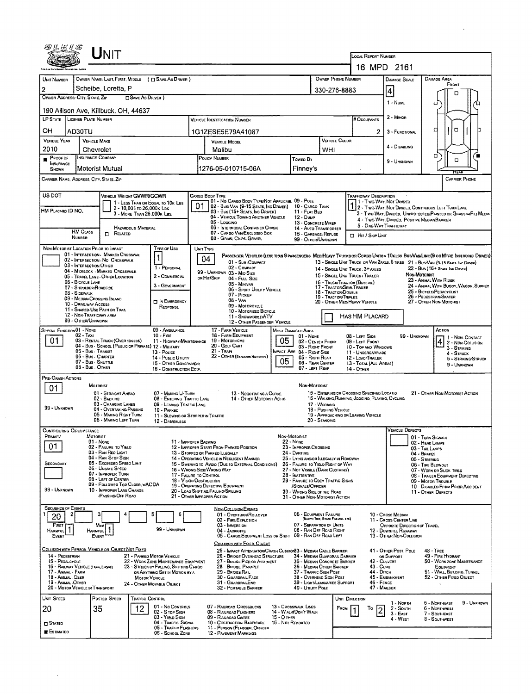| 四丛树片宫                                                                                                                                                                                                         |                                                      | <b>NIT</b>                                                                                                                                                       |                                                         |                                                       |                                                                        |                                                                                                                                                    |                                                                           |                   |                                                                     |                                                                                                                                        |                                                                              |                                                                                                                                   |                                                        |                                                                               |                                                                                                                              |  |  |  |  |  |
|---------------------------------------------------------------------------------------------------------------------------------------------------------------------------------------------------------------|------------------------------------------------------|------------------------------------------------------------------------------------------------------------------------------------------------------------------|---------------------------------------------------------|-------------------------------------------------------|------------------------------------------------------------------------|----------------------------------------------------------------------------------------------------------------------------------------------------|---------------------------------------------------------------------------|-------------------|---------------------------------------------------------------------|----------------------------------------------------------------------------------------------------------------------------------------|------------------------------------------------------------------------------|-----------------------------------------------------------------------------------------------------------------------------------|--------------------------------------------------------|-------------------------------------------------------------------------------|------------------------------------------------------------------------------------------------------------------------------|--|--|--|--|--|
|                                                                                                                                                                                                               |                                                      |                                                                                                                                                                  |                                                         |                                                       |                                                                        |                                                                                                                                                    |                                                                           |                   |                                                                     |                                                                                                                                        |                                                                              |                                                                                                                                   | LOCAL REPORT NUMBER<br>16 MPD 2161                     |                                                                               |                                                                                                                              |  |  |  |  |  |
|                                                                                                                                                                                                               |                                                      |                                                                                                                                                                  |                                                         |                                                       |                                                                        |                                                                                                                                                    |                                                                           |                   |                                                                     |                                                                                                                                        |                                                                              |                                                                                                                                   |                                                        |                                                                               |                                                                                                                              |  |  |  |  |  |
| UNIT NUMBER                                                                                                                                                                                                   |                                                      |                                                                                                                                                                  |                                                         | OWNER NAME: LAST, FIRST, MIDDLE ( C SAME AS DRIVER )  |                                                                        |                                                                                                                                                    |                                                                           |                   |                                                                     |                                                                                                                                        | OWNER PHONE NUMBER                                                           |                                                                                                                                   | <b>DAMAGE SCALE</b>                                    |                                                                               | DAMAGE AREA<br>FRONT                                                                                                         |  |  |  |  |  |
| Scheibe, Loretta, P<br>2<br>OWNER ADDRESS: CITY, STATE, ZIP<br><b>OSAME AS DRIVER</b> )                                                                                                                       |                                                      |                                                                                                                                                                  |                                                         |                                                       |                                                                        |                                                                                                                                                    |                                                                           |                   |                                                                     |                                                                                                                                        |                                                                              | 330-276-8883                                                                                                                      | 4                                                      |                                                                               | п                                                                                                                            |  |  |  |  |  |
| 190 Allison Ave, Killbuck, OH, 44637                                                                                                                                                                          |                                                      |                                                                                                                                                                  |                                                         |                                                       |                                                                        |                                                                                                                                                    |                                                                           |                   |                                                                     |                                                                                                                                        |                                                                              |                                                                                                                                   | $1 -$ Nowe                                             |                                                                               | о                                                                                                                            |  |  |  |  |  |
| LP STATE LICENSE PLATE NUMBER                                                                                                                                                                                 |                                                      |                                                                                                                                                                  |                                                         |                                                       | # Occupants                                                            | 2 - Minon                                                                                                                                          |                                                                           |                   |                                                                     |                                                                                                                                        |                                                                              |                                                                                                                                   |                                                        |                                                                               |                                                                                                                              |  |  |  |  |  |
| OН                                                                                                                                                                                                            | AD30TU                                               |                                                                                                                                                                  |                                                         |                                                       |                                                                        | 1G1ZESE5E79A41087                                                                                                                                  |                                                                           |                   |                                                                     |                                                                                                                                        |                                                                              | 2.                                                                                                                                | 3 - FUNCTIONAL                                         |                                                                               | ۵<br>□                                                                                                                       |  |  |  |  |  |
| <b>VEHICLE YEAR</b>                                                                                                                                                                                           | VEHICLE MAKE                                         |                                                                                                                                                                  |                                                         |                                                       |                                                                        | <b>VEHICLE MODEL</b>                                                                                                                               |                                                                           |                   |                                                                     |                                                                                                                                        | VEHICLE COLOR                                                                |                                                                                                                                   |                                                        |                                                                               |                                                                                                                              |  |  |  |  |  |
| 2010                                                                                                                                                                                                          | Chevrolet                                            |                                                                                                                                                                  |                                                         |                                                       |                                                                        | Malibu                                                                                                                                             |                                                                           |                   |                                                                     | WHI                                                                                                                                    |                                                                              |                                                                                                                                   | 4 - Disabling                                          |                                                                               | □                                                                                                                            |  |  |  |  |  |
| PROOF OF<br><b>INSURANCE</b>                                                                                                                                                                                  | <b>INSURANCE COMPANY</b>                             |                                                                                                                                                                  |                                                         |                                                       |                                                                        | POLICY NUMBER                                                                                                                                      |                                                                           |                   | Toweo By                                                            |                                                                                                                                        |                                                                              |                                                                                                                                   | 9 - UNKNOWN                                            |                                                                               | о                                                                                                                            |  |  |  |  |  |
| SHOWN                                                                                                                                                                                                         |                                                      | Motorist Mutual                                                                                                                                                  |                                                         |                                                       |                                                                        | 1276-05-010715-06A                                                                                                                                 |                                                                           |                   | Finney's                                                            |                                                                                                                                        |                                                                              |                                                                                                                                   |                                                        |                                                                               | REAR                                                                                                                         |  |  |  |  |  |
| CARRIER NAME, AODRESS, CITY, STATE, ZIP<br><b>CARRIER PHONE</b>                                                                                                                                               |                                                      |                                                                                                                                                                  |                                                         |                                                       |                                                                        |                                                                                                                                                    |                                                                           |                   |                                                                     |                                                                                                                                        |                                                                              |                                                                                                                                   |                                                        |                                                                               |                                                                                                                              |  |  |  |  |  |
| US DOT                                                                                                                                                                                                        |                                                      | VEHICLE WEIGHT GVWR/GCWR                                                                                                                                         |                                                         |                                                       |                                                                        | CARGO BODY TYPE                                                                                                                                    | 01 - No Cargo Body Type/Not Applicabl 09 - Pole                           |                   |                                                                     |                                                                                                                                        |                                                                              | <b>TRAFFICWAY DESCRIPTION</b>                                                                                                     | 1 - Two Way, Not Divideo                               |                                                                               |                                                                                                                              |  |  |  |  |  |
| HM PLACARD ID NO.                                                                                                                                                                                             |                                                      |                                                                                                                                                                  | 2 - 10,001 to 26,000k Las<br>3 - MORE THAN 26,000K LBS. | 1 - LESS THAN OR EQUAL TO 10K LBS                     |                                                                        |                                                                                                                                                    | 02 - Bus/Van (9-15 Seats, Inc Driver)<br>03 - Bus (16+ Seats, Inc Driver) |                   | 10 - CARGO TANK<br>11 - FLAT BED                                    |                                                                                                                                        |                                                                              |                                                                                                                                   |                                                        |                                                                               | 112 - Two-Way, Not Divideo, Continuous Left Turn Lame<br>3 - Two-Way, Divideo, Unprotected Painted or Grass >4FT.) Media     |  |  |  |  |  |
|                                                                                                                                                                                                               |                                                      |                                                                                                                                                                  |                                                         |                                                       |                                                                        | 05 - Loccino                                                                                                                                       | 04 - VEHICLE TOWING ANOTHER VEHICLE                                       |                   | 12 - Duwe<br>13 - CONCRETE MIXER                                    |                                                                                                                                        |                                                                              | 5 - ONE WAY TRAFFICWAY                                                                                                            | 4 - Two-Way, Divided, Positive Median Barrier          |                                                                               |                                                                                                                              |  |  |  |  |  |
|                                                                                                                                                                                                               | HM CLASS                                             | D.<br>RELATED                                                                                                                                                    | <b>HAZARDOUS MATERIAL</b>                               |                                                       |                                                                        |                                                                                                                                                    | 06 - INTERMODAL CONTAINER CHASIS<br>07 - CARGO VAN ENCLOSEO BOX           |                   | 14 - Auto Transporter<br>15 - GARBAGE /REFUSE                       |                                                                                                                                        |                                                                              | <b>El Hir / Skie Unit</b>                                                                                                         |                                                        |                                                                               |                                                                                                                              |  |  |  |  |  |
| NON-MOTORIST LOCATION PRIOR TO IMPACT                                                                                                                                                                         | NUMBER                                               |                                                                                                                                                                  |                                                         | TYPE OF USE                                           |                                                                        |                                                                                                                                                    | 08 - GRAIN, CHIPS, GRAVEL                                                 |                   | 99 - OTHER/UNKNOWN                                                  |                                                                                                                                        |                                                                              |                                                                                                                                   |                                                        |                                                                               |                                                                                                                              |  |  |  |  |  |
|                                                                                                                                                                                                               |                                                      | 01 - INTERSECTION - MARKED CROSSWAL<br>02 - INTERSECTION NO CROSSWALK                                                                                            |                                                         | $\ddagger$                                            | UNIT TYPE                                                              | 04                                                                                                                                                 |                                                                           |                   |                                                                     |                                                                                                                                        |                                                                              |                                                                                                                                   |                                                        |                                                                               | PASSENGER VEHICLES (LESS THAN S PASSENGERS MEDIHEAVY TRUCKS OR COMBO UNITS > 10KLBS BUS/VAN/LIMO(S OR MORE INCLUDING DRIVER) |  |  |  |  |  |
|                                                                                                                                                                                                               | 03 - INTERSECTION OTHER                              | 04 - MIDBLOCK - MARKED CROSSWALK                                                                                                                                 |                                                         | 1 - PERSONAL                                          |                                                                        |                                                                                                                                                    | 01 - Sub-COMPACT<br>02 - COMPACT                                          |                   |                                                                     |                                                                                                                                        |                                                                              | 14 - SINGLE UNIT TRUCK: 3+ AXLES                                                                                                  |                                                        |                                                                               | 13 - SINGLE UNIT TRUCK OR VAN 2AXLE, 6 TRES 21 - BUS/VAN (9-15 SEATS, INC DRIVER)<br>$22 - Bus(16 + S_{EAMS}$ Inc Dense)     |  |  |  |  |  |
|                                                                                                                                                                                                               | 06 - BICYCLE LANE                                    | 05 - TRAVEL LANE - OTHER LOCATION                                                                                                                                |                                                         | 2 - COMMERCIAL                                        |                                                                        | 99 - UMKNOWN 03 - MID SIZE<br>on Hir/Skip                                                                                                          | 04 - FULL SIZE                                                            |                   |                                                                     |                                                                                                                                        |                                                                              | NON-MOTORIST<br>15 - SINGLE UNIT TRUCK / TRAILER<br>23 - ANIMAL WITH RIDER<br>16 - TRUCK/TRACTOR (BOBTAIL)                        |                                                        |                                                                               |                                                                                                                              |  |  |  |  |  |
|                                                                                                                                                                                                               | 07 - SHOULDER/ROADSIDE<br>08 - SIDEWALK              |                                                                                                                                                                  |                                                         | 3 - GOVERNMENT                                        |                                                                        |                                                                                                                                                    | 05 - MINIVAN<br>06 - SPORT UTILITY VEHICLE                                |                   |                                                                     |                                                                                                                                        | 17 - TRACTOR/SEMI-TRAILER<br>18 - TRACTOR/DOUBLE                             |                                                                                                                                   |                                                        |                                                                               | 24 - ANIMAL WITH BUGOY, WAGON, SURREY<br>25 - BICYCLE/PEDACYCLIST                                                            |  |  |  |  |  |
|                                                                                                                                                                                                               | 09 - MEDIAN/CROSSING ISLAND<br>10 - DRIVE WAY ACCESS |                                                                                                                                                                  |                                                         | $\Box$ In Emergency                                   | 07 - Pickup<br>$08 - V_{AN}$<br>09 - MOTORCYCLE                        |                                                                                                                                                    |                                                                           |                   |                                                                     |                                                                                                                                        | 19 - TRACTOR/TRIPLES                                                         | 20 - OTHER MEDIMEAVY VEHICLE                                                                                                      |                                                        |                                                                               | 26 - PEDESTRIAN SKATER<br>27 - OTHER NON-MOTORIST                                                                            |  |  |  |  |  |
|                                                                                                                                                                                                               | 12 - NON-TRAFFICWAY AREA                             | 11 - SHARED-USE PATH OR TRAB                                                                                                                                     |                                                         | RESPONSE                                              |                                                                        |                                                                                                                                                    | 10 - MOTORIZED BICYCLE<br>11 - SNOWMOBLE/ATV                              |                   |                                                                     |                                                                                                                                        |                                                                              | HAS HM PLACARD                                                                                                                    |                                                        |                                                                               |                                                                                                                              |  |  |  |  |  |
|                                                                                                                                                                                                               | 99 - OTHER/UNKNOWN                                   |                                                                                                                                                                  |                                                         |                                                       |                                                                        |                                                                                                                                                    | 12 - OTHER PASSENGER VEHICLE                                              |                   |                                                                     |                                                                                                                                        |                                                                              |                                                                                                                                   |                                                        |                                                                               |                                                                                                                              |  |  |  |  |  |
| SPECIAL FUNCTION 01 - NONE<br>09 - AMBULANCE<br>$02 - TAXI$<br>$10 -$ FiRE<br>01<br>03 - RENTAL TRUCK (OVER 10KLBS)                                                                                           |                                                      |                                                                                                                                                                  |                                                         |                                                       |                                                                        | 17 - FARM VEHICLE<br>18 - FARM EOUPMENT<br>19 - MOTORHOME                                                                                          |                                                                           | 05                | MOST DAMAGED AREA<br>01 - Nove                                      |                                                                                                                                        |                                                                              | 08 - LEFT SIDE                                                                                                                    |                                                        | 99 - UNKNOWN                                                                  | ACTION<br>1 1 - Non Contact                                                                                                  |  |  |  |  |  |
| 11 - HIGHWAY/MAINTENANCE<br>04 - Bus - SCHOOL (PUBLIC OR PRIVATE) 12 - MILITARY<br>05 - Bus - Transit<br>13 - POLICE<br>06 - Bus - Charter<br>14 - Pusuc Unury<br>07 - Bus - SHUTTLE<br>15 - OTHER GOVERNMENT |                                                      |                                                                                                                                                                  |                                                         |                                                       |                                                                        | 20 - GOLF CART<br>$21 -$ Tran                                                                                                                      |                                                                           |                   | 02 - CENTER FRONT<br>03 - RIGHT FRONT<br>IMPACT ARE 04 - RIGHT SIDE |                                                                                                                                        |                                                                              | 09 - LEFT FRONT<br>10 - Top and Windows<br>11 - UNDERCARRIADE                                                                     |                                                        |                                                                               | 2 - NON COLUSION<br>3 - STRIKING                                                                                             |  |  |  |  |  |
|                                                                                                                                                                                                               |                                                      |                                                                                                                                                                  |                                                         |                                                       |                                                                        |                                                                                                                                                    | 22 - OTHER (EXPLANSIV NARRATIVE)                                          | 05                | 05 - RIGHT REAR<br>06 - REAR CENTER                                 |                                                                                                                                        |                                                                              | 12 - LOAD/TRAILER<br>13 - TOTAL (ALL AREAS)                                                                                       |                                                        | $4 -$ STRUCK<br>5 - STRIKING/STRUCK                                           |                                                                                                                              |  |  |  |  |  |
|                                                                                                                                                                                                               | 08 - Bus - OTHER                                     |                                                                                                                                                                  |                                                         | 16 - CONSTRUCTION EOUP.                               |                                                                        |                                                                                                                                                    |                                                                           |                   | 07 - LEFT REAR                                                      |                                                                                                                                        |                                                                              | <b>14 - OTHER</b>                                                                                                                 |                                                        |                                                                               | 9 - UNKNOWN                                                                                                                  |  |  |  |  |  |
| PRE-CRASH ACTIONS                                                                                                                                                                                             | MOTORIST                                             |                                                                                                                                                                  |                                                         |                                                       |                                                                        |                                                                                                                                                    |                                                                           |                   | Non-Motorist                                                        |                                                                                                                                        |                                                                              |                                                                                                                                   |                                                        |                                                                               |                                                                                                                              |  |  |  |  |  |
| 01                                                                                                                                                                                                            |                                                      | 01 - STRAIGHT AHEAD<br>02 - BACKING                                                                                                                              |                                                         | 07 - MAKING U-TURN<br>08 - ENTERING TRAFFIC LANE      |                                                                        |                                                                                                                                                    | 13 - NEGOTIATING A CURVE                                                  |                   |                                                                     |                                                                                                                                        |                                                                              | 15 - ENTERING OR CROSSINO SPECIFIED LOCATIO<br>21 - OTHER NON-MOTORIST ACTION<br>16 - WALKING, RUNNING, JOGGINO, PLAYING, CYCLING |                                                        |                                                                               |                                                                                                                              |  |  |  |  |  |
| 99 - UNKNOWN                                                                                                                                                                                                  |                                                      | 03 - CHANGING LANES<br>04 - OVERTAKING/PASSING                                                                                                                   |                                                         | 10 - PARKED                                           | 14 - OTHER MOTORIST ACTIO<br>09 - LEAVING TRAFFIC LANE<br>17 - WORKING |                                                                                                                                                    |                                                                           |                   |                                                                     |                                                                                                                                        | 18 - PUSHING VEHICLE                                                         |                                                                                                                                   |                                                        |                                                                               |                                                                                                                              |  |  |  |  |  |
|                                                                                                                                                                                                               |                                                      | 05 - MAKING RIGHT TURN<br>06 - MAKING LEFT TURN                                                                                                                  |                                                         | 11 - Slowing or Stopped in Traffic<br>12 - DRIVERLESS |                                                                        |                                                                                                                                                    |                                                                           |                   |                                                                     | 20 - STANOING                                                                                                                          |                                                                              | 19 - APPROACHING OR LEAVING VEHICLE                                                                                               |                                                        |                                                                               |                                                                                                                              |  |  |  |  |  |
| <b>CONTRIBUTING CIRCUMSTANCE</b>                                                                                                                                                                              |                                                      |                                                                                                                                                                  |                                                         |                                                       |                                                                        |                                                                                                                                                    |                                                                           |                   |                                                                     |                                                                                                                                        |                                                                              |                                                                                                                                   | VEHICLE DEFECTS                                        |                                                                               |                                                                                                                              |  |  |  |  |  |
| PRIMARY                                                                                                                                                                                                       | Mororist<br>01 - NONE                                |                                                                                                                                                                  |                                                         | 11 - IMPROPER BACKING                                 |                                                                        |                                                                                                                                                    |                                                                           |                   | Non-Motorist<br>22 - None                                           |                                                                                                                                        |                                                                              |                                                                                                                                   |                                                        | 01 - TURN SIGNALS<br>02 - HEAD LAMPS                                          |                                                                                                                              |  |  |  |  |  |
| 01                                                                                                                                                                                                            |                                                      | 02 - FAILURE TO YIELO<br>03 - RAN REO LIGHT                                                                                                                      |                                                         |                                                       |                                                                        | 12 - IMPROPER START FROM PARKED POSITION<br>13 - STOPPED OR PARKED LLEGALLY                                                                        |                                                                           |                   | 23 - IMPROPER CROSSING<br>24 - Darting                              | 03 - TAIL LAMPS<br>04 - BRAKES                                                                                                         |                                                                              |                                                                                                                                   |                                                        |                                                                               |                                                                                                                              |  |  |  |  |  |
| SECONDARY                                                                                                                                                                                                     |                                                      | 04 - RAN STOP SIGN<br>05 - Exceeded Speed Limit<br>06 - UNSAFE SPEED                                                                                             |                                                         |                                                       |                                                                        | 14 - OPERATING VEHICLE IN NEGLIGENT MANNER                                                                                                         | 15 - Swering to Avoid (Due to External Conditions)                        |                   | 26 - FALURE TO YIELD RIGHT OF WAY                                   |                                                                                                                                        | 25 - LYING ANDIOR ILLEGALLY IN ROADWAY<br>05 - STEERING<br>06 - TIRE BLOWDUT |                                                                                                                                   |                                                        |                                                                               |                                                                                                                              |  |  |  |  |  |
|                                                                                                                                                                                                               |                                                      | 07 - IMPROPER TURN<br>08 - LEFT OF CENTER                                                                                                                        |                                                         | 17 - FALURE TO CONTROL                                |                                                                        | 16 - WRONG SIDE/WRONG WAY                                                                                                                          |                                                                           |                   | 28 - INATTENTIVE                                                    | 27 - NOT VISIBLE (DARK CLOTHING)<br>07 - WORN OR SLICK TIRES<br>08 - TRAILER EQUIPMENT DEFECTIVE<br>29 - FAILURE TO OBEY TRAFFIC SIGNS |                                                                              |                                                                                                                                   |                                                        |                                                                               |                                                                                                                              |  |  |  |  |  |
| 99 - UNKNOWN                                                                                                                                                                                                  |                                                      | 09 - Followed Too CloselwACDA<br>10 - IMPROPER LANE CHANGE                                                                                                       |                                                         | 18 - Vision Oastruction                               |                                                                        | 19 - OPERATING DEFECTIVE EQUIPMENT<br>20 - LOAO SHIFTING/FALLINO/SPILLING                                                                          |                                                                           |                   | /Signals/Officer<br>30 - WRONG SIDE OF THE ROAD                     |                                                                                                                                        |                                                                              |                                                                                                                                   |                                                        | 09 - MOTOR TROUBLE<br>10 - Disabled From Prior Accident<br>11 - OTHER DEFECTS |                                                                                                                              |  |  |  |  |  |
|                                                                                                                                                                                                               |                                                      | <b>PASSING OFF ROAD</b>                                                                                                                                          |                                                         |                                                       |                                                                        | 21 - OTHER IMPROPER ACTION                                                                                                                         |                                                                           |                   | 31 - OTHER NON-MOTORIST ACTION                                      |                                                                                                                                        |                                                                              |                                                                                                                                   |                                                        |                                                                               |                                                                                                                              |  |  |  |  |  |
| <b>SEQUENCE OF EVENTS</b>                                                                                                                                                                                     |                                                      |                                                                                                                                                                  |                                                         | 6                                                     |                                                                        |                                                                                                                                                    | <b>NON-COLLISION EVENTS</b><br>01 - OVERTURN/ROLLOVER                     |                   | 06 - EQUIPMENT FAILURE                                              |                                                                                                                                        |                                                                              |                                                                                                                                   | 10 - Cross Menuw                                       |                                                                               |                                                                                                                              |  |  |  |  |  |
| 20<br>FIRST                                                                                                                                                                                                   |                                                      | Most                                                                                                                                                             |                                                         |                                                       |                                                                        | 03 - IMMERSION                                                                                                                                     | 02 - FIRE/EXPLOSION                                                       |                   | 07 - SEPARATION OF UNITS                                            |                                                                                                                                        | (BLOWN TIRE, BRAKE FAILURE, ETC)                                             |                                                                                                                                   | 11 - Cross Center Line<br>OPPOSITE DIRECTION OF TRAVEL |                                                                               |                                                                                                                              |  |  |  |  |  |
| <b>HARMFUL</b><br>EVENT                                                                                                                                                                                       | HARMFUL<br>EVENT                                     | 1                                                                                                                                                                |                                                         | 99 - UNKNOWN                                          |                                                                        | 04 - JACKKNIFE                                                                                                                                     | 05 - CARGO/EQUIPMENT LOSS OR SHIFT 09 - RAN OFF ROAD LEFT                 |                   | 08 - RAN OFF ROAD RIGHT                                             |                                                                                                                                        |                                                                              |                                                                                                                                   | 12 - DOWNHLL RUNAWAY<br>13 - OTHER NON-COLLISION       |                                                                               |                                                                                                                              |  |  |  |  |  |
| COLLISION WITH PERSON, VEHICLE OR OBJECT NOT FIXED                                                                                                                                                            |                                                      |                                                                                                                                                                  |                                                         |                                                       |                                                                        |                                                                                                                                                    | COLLISION WITH FIXED, OBJECT                                              |                   |                                                                     |                                                                                                                                        |                                                                              |                                                                                                                                   |                                                        |                                                                               |                                                                                                                              |  |  |  |  |  |
| 14 - PEDESTRIAN                                                                                                                                                                                               |                                                      | 25 - IMPACT ATTENUATOR/CRASH CUSHION33 - MEDIAN CABLE BARRIER<br>26 - BRIDGE OVERHEAD STRUCTURE<br>34 - MEDIAN GUARDRAIL BARRIER<br>35 - MEQUAN CONCRETE BARRIER |                                                         |                                                       |                                                                        |                                                                                                                                                    |                                                                           |                   | 41 - OTHER POST, POLE<br>OR SUPPORT                                 |                                                                                                                                        | $48 -$ TREE<br>49 - FIRE HYDRANT                                             |                                                                                                                                   |                                                        |                                                                               |                                                                                                                              |  |  |  |  |  |
| 21 - PARKED MOTOR VEHICLE<br>15 - PEDALCYCLE<br>22 - WORK ZONE MAINTENANCE EQUIPMENT<br>16 - RAILWAY VEHICLE (TRAM, ENGINE)<br>23 - STRUCK BY FALLING, SHIFTING CARGO                                         |                                                      |                                                                                                                                                                  |                                                         |                                                       |                                                                        |                                                                                                                                                    | 27 - BRIDGE PIER OR ASUTMENT<br>28 - BRIDGE PARAPET                       |                   | 36 - MEDIAN OTHER BARRIER                                           |                                                                                                                                        |                                                                              | 42 - Culvert<br>43 - Cura<br>44 - Олсн                                                                                            |                                                        |                                                                               | 50 - WORK ZONE MAINTENANCE<br>EQUIPMENT<br>51 - WALL BUILDING, TUNNEL                                                        |  |  |  |  |  |
| 17 - Animal - Farm<br>OR ANYTHING SET IN MOTION BY A<br>18 - ANIMAL - DEER<br><b>MOTOR VEHICLE</b><br>19 - ANIMAL - OTHER<br>24 - OTHER MOVABLE OBJECT                                                        |                                                      |                                                                                                                                                                  |                                                         |                                                       |                                                                        | 29 - BRIDGE RAIL<br>37 - TRAFFIC SIGN POST<br>30 - GUARDRAIL FACE<br>38 - Overhead Stan Post<br>31 - GUARDRAILEND<br>39 - Light/Luminaries Support |                                                                           |                   |                                                                     |                                                                                                                                        |                                                                              | 46 - FENCE                                                                                                                        | 45 - EMBANKMENT                                        | 52 - OTHER FIXED OSJECT                                                       |                                                                                                                              |  |  |  |  |  |
| 20 - MOTOR VEHICLE IN TRANSPORT                                                                                                                                                                               |                                                      |                                                                                                                                                                  |                                                         |                                                       |                                                                        |                                                                                                                                                    | 32 - PORTABLE BARRIER                                                     |                   | 40 - Unury PoLE                                                     |                                                                                                                                        |                                                                              | 47 - MARBOX                                                                                                                       |                                                        |                                                                               |                                                                                                                              |  |  |  |  |  |
| UNIT SPEED                                                                                                                                                                                                    |                                                      | Posteo Speed                                                                                                                                                     | Traffic Control                                         | 01 - No CONTROLS                                      |                                                                        |                                                                                                                                                    | 07 - RAILROAD CROSSBUCKS                                                  |                   | 13 - Crosswalk Lines                                                |                                                                                                                                        | UNIT DIRECTION                                                               |                                                                                                                                   | 1 - North                                              |                                                                               | 5 - NORTHEAST<br>9 - UNKNOWN                                                                                                 |  |  |  |  |  |
| 20                                                                                                                                                                                                            | 35                                                   |                                                                                                                                                                  | 12                                                      | 02 - S TDP SIGN<br>03 - YIELD SIGN                    |                                                                        | 08 - RAILROAD FLASHERS<br>09 - RAILROAD GATES                                                                                                      |                                                                           | 15 - O THER       | 14 - WALK/DON'T WALK                                                |                                                                                                                                        | FROM                                                                         | To<br> 2                                                                                                                          | 2 - SOUTH<br>$3 -$ East<br>4 - West                    |                                                                               | 6 - NORTHWEST<br>7 - SOUTHEAST                                                                                               |  |  |  |  |  |
| $\square$ Stated                                                                                                                                                                                              |                                                      |                                                                                                                                                                  |                                                         | 04 - TRAFFIC SIGNAL<br>05 - TRAFFIC FLASHERS          |                                                                        |                                                                                                                                                    | 10 - COSTRUCTION BARRICADE<br>11 - PERSON (FLAGGER, OFFICER               | 16 - Not Reported |                                                                     |                                                                                                                                        |                                                                              |                                                                                                                                   |                                                        |                                                                               | 8 - SOUTHWEST                                                                                                                |  |  |  |  |  |
| ESTIMATED                                                                                                                                                                                                     |                                                      |                                                                                                                                                                  |                                                         | 06 - SCHOOL ZONE                                      |                                                                        | 12 - PAVEMENT MARKINGS                                                                                                                             |                                                                           |                   |                                                                     |                                                                                                                                        |                                                                              |                                                                                                                                   |                                                        |                                                                               |                                                                                                                              |  |  |  |  |  |

 $\mathcal{A}^{\mathcal{A}}$ 

 $\mathcal{L}^{\text{max}}_{\text{max}}$